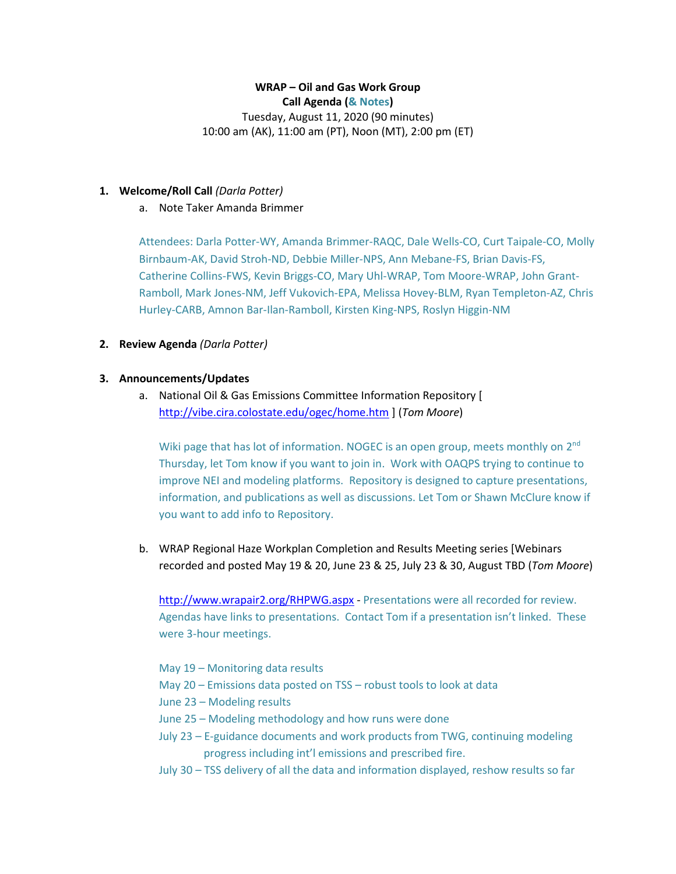# **WRAP – Oil and Gas Work Group**

**Call Agenda (& Notes)**

Tuesday, August 11, 2020 (90 minutes) 10:00 am (AK), 11:00 am (PT), Noon (MT), 2:00 pm (ET)

#### **1. Welcome/Roll Call** *(Darla Potter)*

a. Note Taker Amanda Brimmer

Attendees: Darla Potter-WY, Amanda Brimmer-RAQC, Dale Wells-CO, Curt Taipale-CO, Molly Birnbaum-AK, David Stroh-ND, Debbie Miller-NPS, Ann Mebane-FS, Brian Davis-FS, Catherine Collins-FWS, Kevin Briggs-CO, Mary Uhl-WRAP, Tom Moore-WRAP, John Grant-Ramboll, Mark Jones-NM, Jeff Vukovich-EPA, Melissa Hovey-BLM, Ryan Templeton-AZ, Chris Hurley-CARB, Amnon Bar-Ilan-Ramboll, Kirsten King-NPS, Roslyn Higgin-NM

## **2. Review Agenda** *(Darla Potter)*

## **3. Announcements/Updates**

a. National Oil & Gas Emissions Committee Information Repository [ <http://vibe.cira.colostate.edu/ogec/home.htm> ] (*Tom Moore*)

Wiki page that has lot of information. NOGEC is an open group, meets monthly on 2<sup>nd</sup> Thursday, let Tom know if you want to join in. Work with OAQPS trying to continue to improve NEI and modeling platforms. Repository is designed to capture presentations, information, and publications as well as discussions. Let Tom or Shawn McClure know if you want to add info to Repository.

b. WRAP Regional Haze Workplan Completion and Results Meeting series [Webinars recorded and posted May 19 & 20, June 23 & 25, July 23 & 30, August TBD (*Tom Moore*)

<http://www.wrapair2.org/RHPWG.aspx> - Presentations were all recorded for review. Agendas have links to presentations. Contact Tom if a presentation isn't linked. These were 3-hour meetings.

- May 19 Monitoring data results
- May 20 Emissions data posted on TSS robust tools to look at data
- June 23 Modeling results
- June 25 Modeling methodology and how runs were done
- July 23 E-guidance documents and work products from TWG, continuing modeling progress including int'l emissions and prescribed fire.
- July 30 TSS delivery of all the data and information displayed, reshow results so far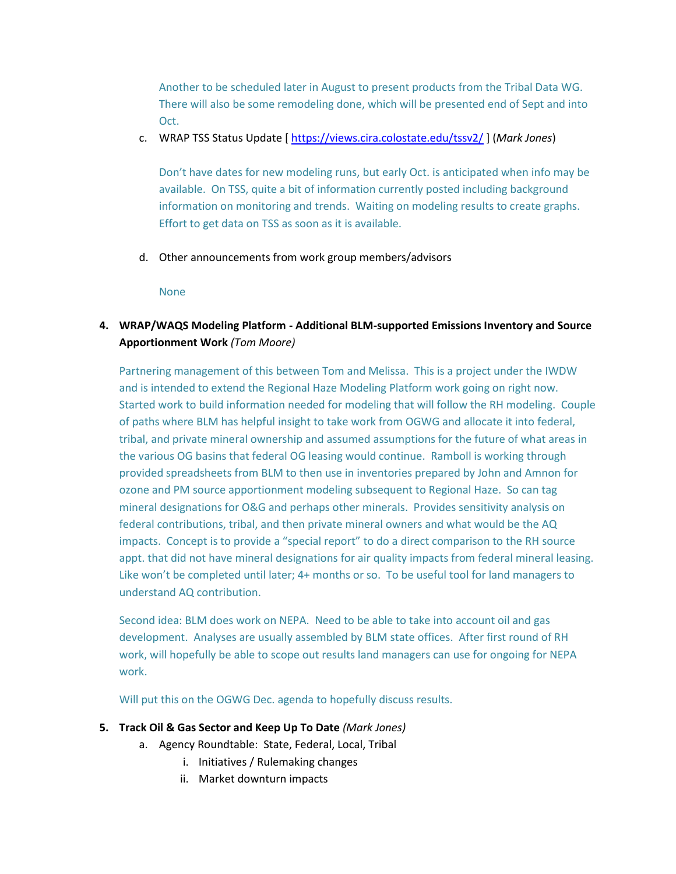Another to be scheduled later in August to present products from the Tribal Data WG. There will also be some remodeling done, which will be presented end of Sept and into Oct.

c. WRAP TSS Status Update [<https://views.cira.colostate.edu/tssv2/> ] (*Mark Jones*)

Don't have dates for new modeling runs, but early Oct. is anticipated when info may be available. On TSS, quite a bit of information currently posted including background information on monitoring and trends. Waiting on modeling results to create graphs. Effort to get data on TSS as soon as it is available.

d. Other announcements from work group members/advisors

None

**4. WRAP/WAQS Modeling Platform - Additional BLM-supported Emissions Inventory and Source Apportionment Work** *(Tom Moore)*

Partnering management of this between Tom and Melissa. This is a project under the IWDW and is intended to extend the Regional Haze Modeling Platform work going on right now. Started work to build information needed for modeling that will follow the RH modeling. Couple of paths where BLM has helpful insight to take work from OGWG and allocate it into federal, tribal, and private mineral ownership and assumed assumptions for the future of what areas in the various OG basins that federal OG leasing would continue. Ramboll is working through provided spreadsheets from BLM to then use in inventories prepared by John and Amnon for ozone and PM source apportionment modeling subsequent to Regional Haze. So can tag mineral designations for O&G and perhaps other minerals. Provides sensitivity analysis on federal contributions, tribal, and then private mineral owners and what would be the AQ impacts. Concept is to provide a "special report" to do a direct comparison to the RH source appt. that did not have mineral designations for air quality impacts from federal mineral leasing. Like won't be completed until later; 4+ months or so. To be useful tool for land managers to understand AQ contribution.

Second idea: BLM does work on NEPA. Need to be able to take into account oil and gas development. Analyses are usually assembled by BLM state offices. After first round of RH work, will hopefully be able to scope out results land managers can use for ongoing for NEPA work.

Will put this on the OGWG Dec. agenda to hopefully discuss results.

## **5. Track Oil & Gas Sector and Keep Up To Date** *(Mark Jones)*

- a. Agency Roundtable: State, Federal, Local, Tribal
	- i. Initiatives / Rulemaking changes
	- ii. Market downturn impacts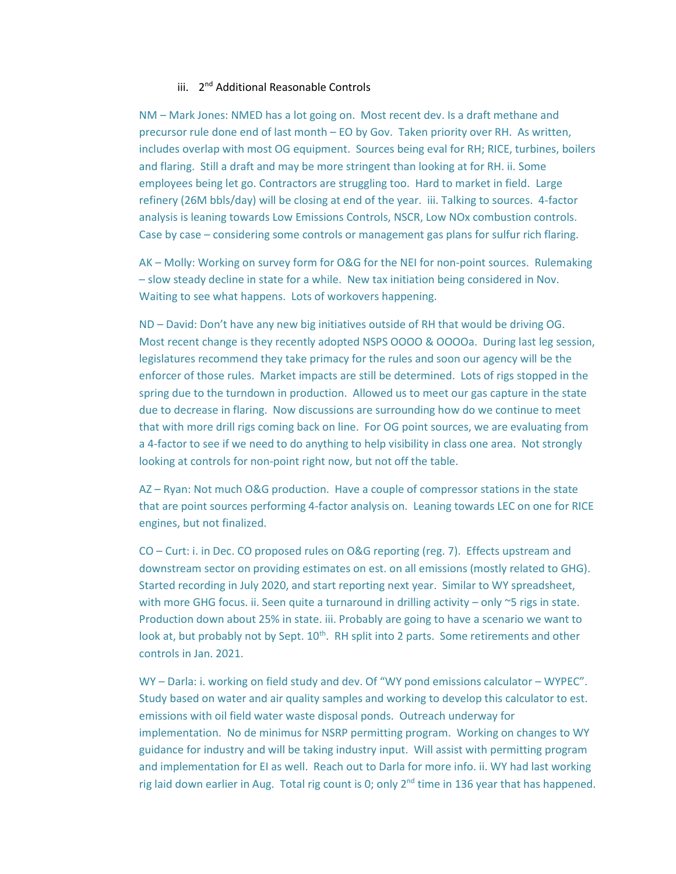#### iii. 2<sup>nd</sup> Additional Reasonable Controls

NM – Mark Jones: NMED has a lot going on. Most recent dev. Is a draft methane and precursor rule done end of last month – EO by Gov. Taken priority over RH. As written, includes overlap with most OG equipment. Sources being eval for RH; RICE, turbines, boilers and flaring. Still a draft and may be more stringent than looking at for RH. ii. Some employees being let go. Contractors are struggling too. Hard to market in field. Large refinery (26M bbls/day) will be closing at end of the year. iii. Talking to sources. 4-factor analysis is leaning towards Low Emissions Controls, NSCR, Low NOx combustion controls. Case by case – considering some controls or management gas plans for sulfur rich flaring.

AK – Molly: Working on survey form for O&G for the NEI for non-point sources. Rulemaking – slow steady decline in state for a while. New tax initiation being considered in Nov. Waiting to see what happens. Lots of workovers happening.

ND – David: Don't have any new big initiatives outside of RH that would be driving OG. Most recent change is they recently adopted NSPS OOOO & OOOOa. During last leg session, legislatures recommend they take primacy for the rules and soon our agency will be the enforcer of those rules. Market impacts are still be determined. Lots of rigs stopped in the spring due to the turndown in production. Allowed us to meet our gas capture in the state due to decrease in flaring. Now discussions are surrounding how do we continue to meet that with more drill rigs coming back on line. For OG point sources, we are evaluating from a 4-factor to see if we need to do anything to help visibility in class one area. Not strongly looking at controls for non-point right now, but not off the table.

AZ – Ryan: Not much O&G production. Have a couple of compressor stations in the state that are point sources performing 4-factor analysis on. Leaning towards LEC on one for RICE engines, but not finalized.

CO – Curt: i. in Dec. CO proposed rules on O&G reporting (reg. 7). Effects upstream and downstream sector on providing estimates on est. on all emissions (mostly related to GHG). Started recording in July 2020, and start reporting next year. Similar to WY spreadsheet, with more GHG focus. ii. Seen quite a turnaround in drilling activity  $-$  only  $\sim$  5 rigs in state. Production down about 25% in state. iii. Probably are going to have a scenario we want to look at, but probably not by Sept. 10<sup>th</sup>. RH split into 2 parts. Some retirements and other controls in Jan. 2021.

WY – Darla: i. working on field study and dev. Of "WY pond emissions calculator – WYPEC". Study based on water and air quality samples and working to develop this calculator to est. emissions with oil field water waste disposal ponds. Outreach underway for implementation. No de minimus for NSRP permitting program. Working on changes to WY guidance for industry and will be taking industry input. Will assist with permitting program and implementation for EI as well. Reach out to Darla for more info. ii. WY had last working rig laid down earlier in Aug. Total rig count is 0; only 2<sup>nd</sup> time in 136 year that has happened.